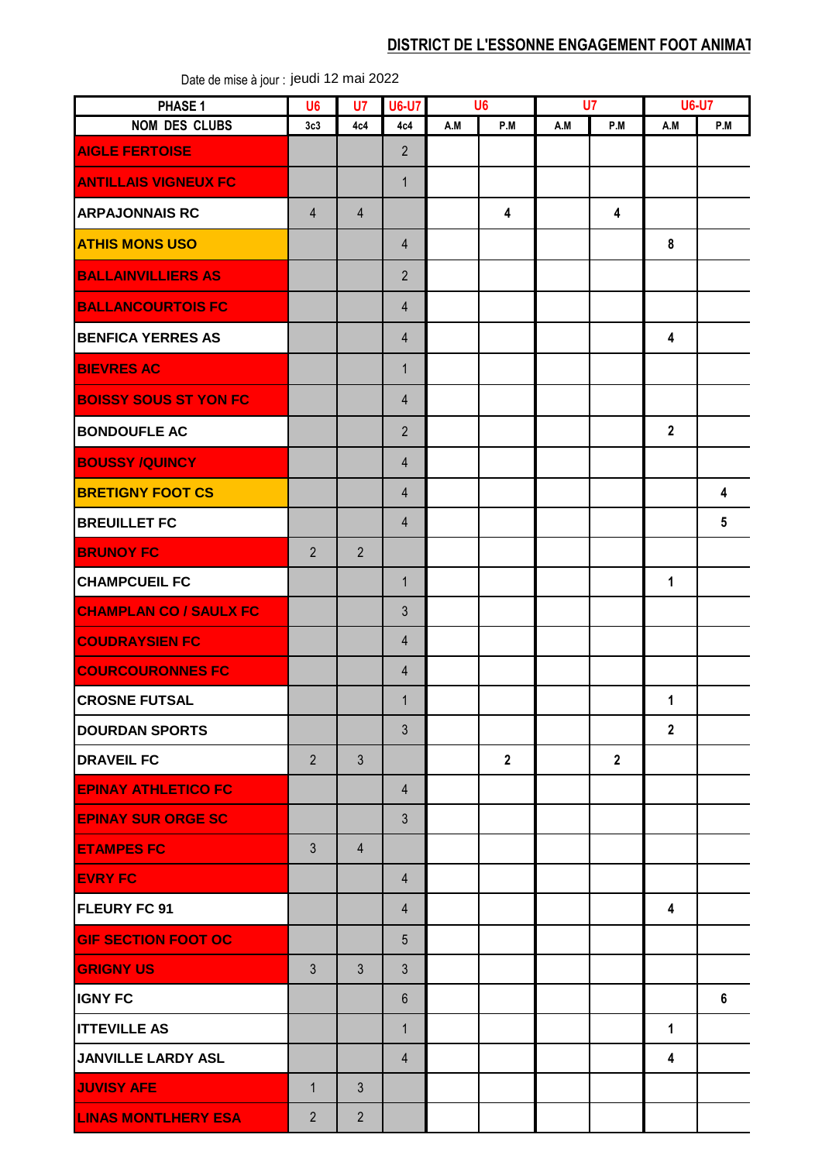## **DISTRICT DE L'ESSONNE ENGAGEMENT FOOT ANIMAT**

| PHASE 1                       | U <sub>6</sub> | U7             | <b>U6-U7</b>   |     | U <sub>6</sub> | U <sub>7</sub> |                |                | <b>U6-U7</b> |  |
|-------------------------------|----------------|----------------|----------------|-----|----------------|----------------|----------------|----------------|--------------|--|
| <b>NOM DES CLUBS</b>          | 3c3            | 4c4            | 4c4            | A.M | P.M            | A.M            | P.M            | A.M            | P.M          |  |
| <b>AIGLE FERTOISE</b>         |                |                | $\overline{2}$ |     |                |                |                |                |              |  |
| <b>ANTILLAIS VIGNEUX FC</b>   |                |                | $\mathbf{1}$   |     |                |                |                |                |              |  |
| <b>ARPAJONNAIS RC</b>         | $\overline{4}$ | 4              |                |     | 4              |                | 4              |                |              |  |
| <b>ATHIS MONS USO</b>         |                |                | $\overline{4}$ |     |                |                |                | 8              |              |  |
| <b>BALLAINVILLIERS AS</b>     |                |                | $\overline{2}$ |     |                |                |                |                |              |  |
| <b>BALLANCOURTOIS FC</b>      |                |                | $\overline{4}$ |     |                |                |                |                |              |  |
| <b>BENFICA YERRES AS</b>      |                |                | $\overline{4}$ |     |                |                |                | 4              |              |  |
| <b>BIEVRES AC</b>             |                |                | $\mathbf{1}$   |     |                |                |                |                |              |  |
| <b>BOISSY SOUS ST YON FC</b>  |                |                | $\overline{4}$ |     |                |                |                |                |              |  |
| <b>BONDOUFLE AC</b>           |                |                | $\overline{2}$ |     |                |                |                | $\overline{2}$ |              |  |
| <b>BOUSSY /QUINCY</b>         |                |                | $\overline{4}$ |     |                |                |                |                |              |  |
| <b>BRETIGNY FOOT CS</b>       |                |                | $\overline{4}$ |     |                |                |                |                | 4            |  |
| <b>BREUILLET FC</b>           |                |                | $\overline{4}$ |     |                |                |                |                | 5            |  |
| <b>BRUNOY FC</b>              | $\overline{2}$ | $\overline{2}$ |                |     |                |                |                |                |              |  |
| <b>CHAMPCUEIL FC</b>          |                |                | $\mathbf{1}$   |     |                |                |                | $\mathbf{1}$   |              |  |
| <b>CHAMPLAN CO / SAULX FC</b> |                |                | $\mathfrak{Z}$ |     |                |                |                |                |              |  |
| <b>COUDRAYSIEN FC</b>         |                |                | $\overline{4}$ |     |                |                |                |                |              |  |
| <b>COURCOURONNES FC</b>       |                |                | $\overline{4}$ |     |                |                |                |                |              |  |
| <b>CROSNE FUTSAL</b>          |                |                | $\mathbf{1}$   |     |                |                |                | 1              |              |  |
| <b>DOURDAN SPORTS</b>         |                |                | $\mathfrak{Z}$ |     |                |                |                | $\overline{2}$ |              |  |
| <b>DRAVEIL FC</b>             | $\overline{2}$ | $\mathfrak{Z}$ |                |     | $\overline{2}$ |                | $\overline{2}$ |                |              |  |
| <b>EPINAY ATHLETICO FC</b>    |                |                | $\overline{4}$ |     |                |                |                |                |              |  |
| <b>EPINAY SUR ORGE SC</b>     |                |                | $\mathfrak{Z}$ |     |                |                |                |                |              |  |
| <b>ETAMPES FC</b>             | $\mathfrak{Z}$ | $\overline{4}$ |                |     |                |                |                |                |              |  |
| <b>EVRY FC</b>                |                |                | $\overline{4}$ |     |                |                |                |                |              |  |
| <b>FLEURY FC 91</b>           |                |                | $\overline{4}$ |     |                |                |                | 4              |              |  |
| <b>GIF SECTION FOOT OC</b>    |                |                | 5              |     |                |                |                |                |              |  |
| <b>GRIGNY US</b>              | $\mathfrak{Z}$ | $\mathfrak{Z}$ | $\mathfrak{Z}$ |     |                |                |                |                |              |  |
| <b>IGNY FC</b>                |                |                | $6\phantom{1}$ |     |                |                |                |                | 6            |  |
| <b>ITTEVILLE AS</b>           |                |                | $\mathbf{1}$   |     |                |                |                | $\mathbf{1}$   |              |  |
| JANVILLE LARDY ASL            |                |                | $\overline{4}$ |     |                |                |                | 4              |              |  |
| <b>JUVISY AFE</b>             | $\mathbf{1}$   | 3              |                |     |                |                |                |                |              |  |
| <b>LINAS MONTLHERY ESA</b>    | $\overline{2}$ | $\overline{2}$ |                |     |                |                |                |                |              |  |

Date de mise à jour : jeudi 12 mai 2022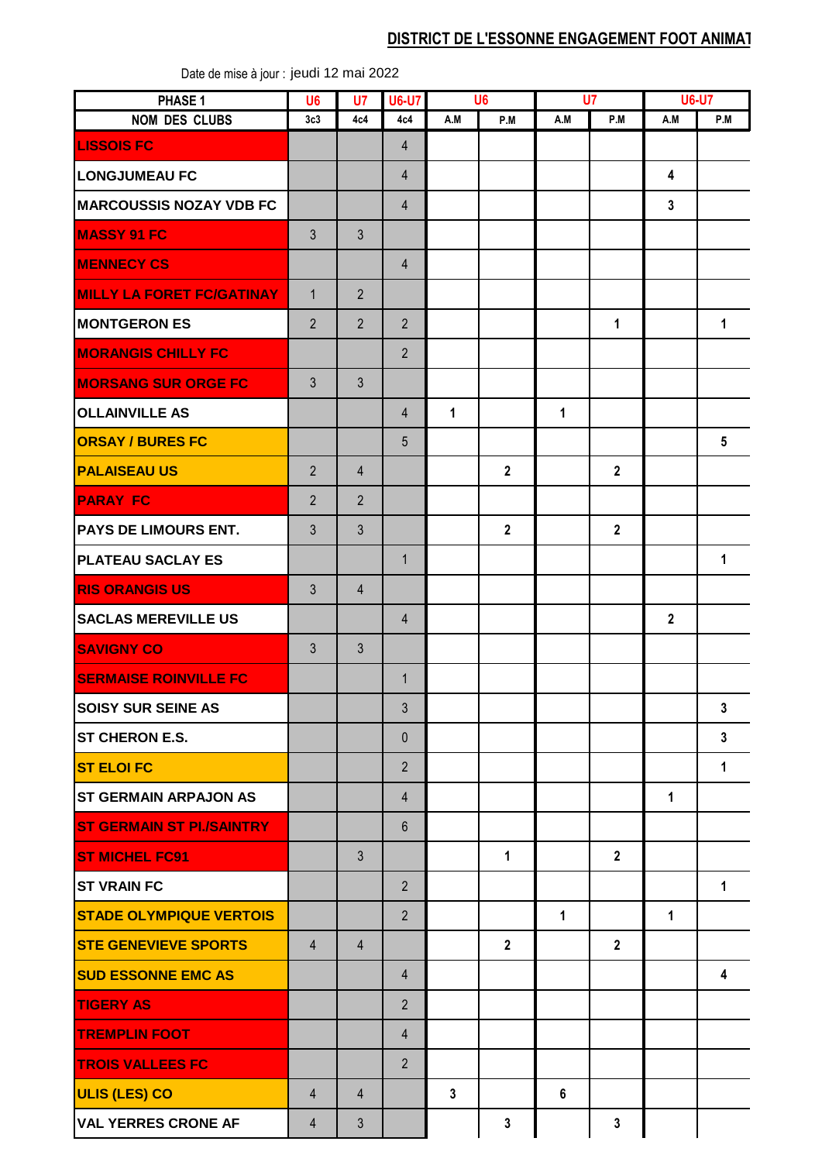## **DISTRICT DE L'ESSONNE ENGAGEMENT FOOT ANIMAT**

| PHASE 1                          | U <sub>6</sub> | U7             | <b>U6-U7</b>   | U <sub>6</sub> |                | U7           |                | <b>U6-U7</b>   |                 |
|----------------------------------|----------------|----------------|----------------|----------------|----------------|--------------|----------------|----------------|-----------------|
| <b>NOM DES CLUBS</b>             | 3c3            | 4c4            | 4c4            | A.M            | P.M            | A.M          | P.M            | A.M            | P.M             |
| <b>LISSOIS FC</b>                |                |                | $\overline{4}$ |                |                |              |                |                |                 |
| <b>LONGJUMEAU FC</b>             |                |                | $\overline{4}$ |                |                |              |                | 4              |                 |
| <b>MARCOUSSIS NOZAY VDB FC</b>   |                |                | $\overline{4}$ |                |                |              |                | $\overline{3}$ |                 |
| <b>MASSY 91 FC</b>               | $\mathfrak{Z}$ | $\mathfrak{Z}$ |                |                |                |              |                |                |                 |
| <b>MENNECY CS</b>                |                |                | $\overline{4}$ |                |                |              |                |                |                 |
| <b>MILLY LA FORET FC/GATINAY</b> | $\mathbf{1}$   | $\overline{2}$ |                |                |                |              |                |                |                 |
| <b>MONTGERON ES</b>              | $\overline{2}$ | $\overline{2}$ | $2^{\circ}$    |                |                |              | $\mathbf{1}$   |                | 1               |
| <b>MORANGIS CHILLY FC</b>        |                |                | $\overline{2}$ |                |                |              |                |                |                 |
| <b>MORSANG SUR ORGE FC</b>       | $\mathfrak{Z}$ | $\mathfrak{Z}$ |                |                |                |              |                |                |                 |
| <b>OLLAINVILLE AS</b>            |                |                | $\overline{4}$ | $\mathbf{1}$   |                | 1            |                |                |                 |
| <b>ORSAY / BURES FC</b>          |                |                | $5\phantom{.}$ |                |                |              |                |                | $5\phantom{.0}$ |
| <b>PALAISEAU US</b>              | $\overline{2}$ | $\overline{4}$ |                |                | $\overline{2}$ |              | $\overline{2}$ |                |                 |
| <b>PARAY FC</b>                  | $\overline{2}$ | $\overline{2}$ |                |                |                |              |                |                |                 |
| <b>PAYS DE LIMOURS ENT.</b>      | $\mathfrak{Z}$ | $\mathfrak{S}$ |                |                | $\overline{2}$ |              | $\overline{2}$ |                |                 |
| <b>PLATEAU SACLAY ES</b>         |                |                | $\mathbf{1}$   |                |                |              |                |                | $\mathbf{1}$    |
| <b>RIS ORANGIS US</b>            | $\mathfrak{Z}$ | $\overline{4}$ |                |                |                |              |                |                |                 |
| <b>SACLAS MEREVILLE US</b>       |                |                | $\overline{4}$ |                |                |              |                | $\overline{2}$ |                 |
| <b>SAVIGNY CO</b>                | $\mathfrak{Z}$ | $\mathfrak{S}$ |                |                |                |              |                |                |                 |
| <b>SERMAISE ROINVILLE FC</b>     |                |                | $\mathbf{1}$   |                |                |              |                |                |                 |
| <b>SOISY SUR SEINE AS</b>        |                |                | $\mathfrak{Z}$ |                |                |              |                |                | $\mathbf{3}$    |
| <b>ST CHERON E.S.</b>            |                |                | $\mathbf{0}$   |                |                |              |                |                | 3               |
| <b>ST ELOI FC</b>                |                |                | $\overline{2}$ |                |                |              |                |                | $\mathbf{1}$    |
| <b>ST GERMAIN ARPAJON AS</b>     |                |                | $\overline{4}$ |                |                |              |                | $\mathbf{1}$   |                 |
| <b>ST GERMAIN ST PL/SAINTRY</b>  |                |                | $6\phantom{1}$ |                |                |              |                |                |                 |
| <b>ST MICHEL FC91</b>            |                | $\mathfrak{S}$ |                |                | $\mathbf{1}$   |              | $\mathbf{2}$   |                |                 |
| IST VRAIN FC                     |                |                | $2^{\circ}$    |                |                |              |                |                | $\mathbf{1}$    |
| <b>STADE OLYMPIQUE VERTOIS</b>   |                |                | $2^{\circ}$    |                |                | $\mathbf{1}$ |                | $\mathbf{1}$   |                 |
| <b>STE GENEVIEVE SPORTS</b>      | $\overline{4}$ | $\overline{4}$ |                |                | $\mathbf{2}$   |              | $\overline{2}$ |                |                 |
| <b>SUD ESSONNE EMC AS</b>        |                |                | $\overline{4}$ |                |                |              |                |                | 4               |
| <b>TIGERY AS</b>                 |                |                | $\overline{2}$ |                |                |              |                |                |                 |
| <b>TREMPLIN FOOT</b>             |                |                | $\overline{4}$ |                |                |              |                |                |                 |
| <b>TROIS VALLEES FC</b>          |                |                | $\overline{2}$ |                |                |              |                |                |                 |
| <b>ULIS (LES) CO</b>             | $\overline{4}$ | 4              |                | $\mathbf{3}$   |                | 6            |                |                |                 |
| <b>VAL YERRES CRONE AF</b>       | 4              | $\mathfrak{Z}$ |                |                | $\mathbf{3}$   |              | $\mathbf{3}$   |                |                 |
|                                  |                |                |                |                |                |              |                |                |                 |

Date de mise à jour : jeudi 12 mai 2022